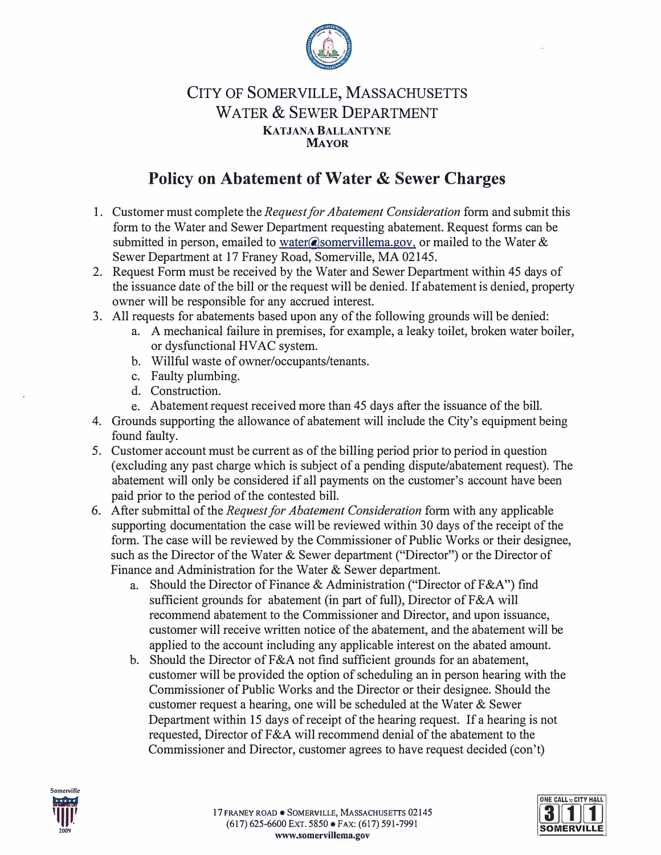

## CITY OF SOMERVILLE, MASSACHUSETTS WATER & SEWER DEPARTMENT **KATJANA BALLANTYNE MAYOR**

## **Policy on Abatement of Water & Sewer Charges**

- 1. Customer must complete the *Request for Abatement Consideration* form and submit this form to the Water and Sewer Department requesting abatement. Request forms can be submitted in person, emailed to water@somervillema.gov, or mailed to the Water & Sewer Department at 17 Franey Road, Somerville, MA 02145.
- 2. Request Form must be received by the Water and Sewer Department within 45 days of the issuance date of the bill or the request will be denied. If abatement is denied, property owner will be responsible for any accrued interest.
- 3. All requests for abatements based upon any of the following grounds will be denied:
	- a. A mechanical failure in premises, for example, a leaky toilet, broken water boiler, or dysfunctional HVAC system.
	- b. Willful waste of owner/occupants/tenants.
	- c. Faulty plumbing.
	- d. Construction.
	- e. Abatement request received more than 45 days after the issuance of the bill.
- 4. Grounds supporting the allowance of abatement will include the City's equipment being found faulty.
- 5. Customer account must be current as of the billing period prior to period in question ( excluding any past charge which is subject of a pending dispute/abatement request). The abatement will only be considered if all payments on the customer's account have been paid prior to the period of the contested bill.
- 6. After submittal of the *Request for Abatement Consideration* form with any applicable supporting documentation the case will be reviewed within 30 days of the receipt of the form. The case will be reviewed by the Commissioner of Public Works or their designee, such as the Director of the Water & Sewer department ("Director") or the Director of Finance and Administration for the Water & Sewer department.
	- a. Should the Director of Finance & Administration ("Director of F&A") find sufficient grounds for abatement (in part of full), Director of F&A will recommend abatement to the Commissioner and Director, and upon issuance, customer will receive written notice of the abatement, and the abatement will be applied to the account including any applicable interest on the abated amount.
	- b. Should the Director of F&A not find sufficient grounds for an abatement, customer will be provided the option of scheduling an in person hearing with the Commissioner of Public Works and the Director or their designee. Should the customer request a hearing, one will be scheduled at the Water & Sewer Department within 15 days of receipt of the hearing request. If a hearing is not requested, Director of F&A will recommend denial of the abatement to the Commissioner and Director, customer agrees to have request decided (con't)



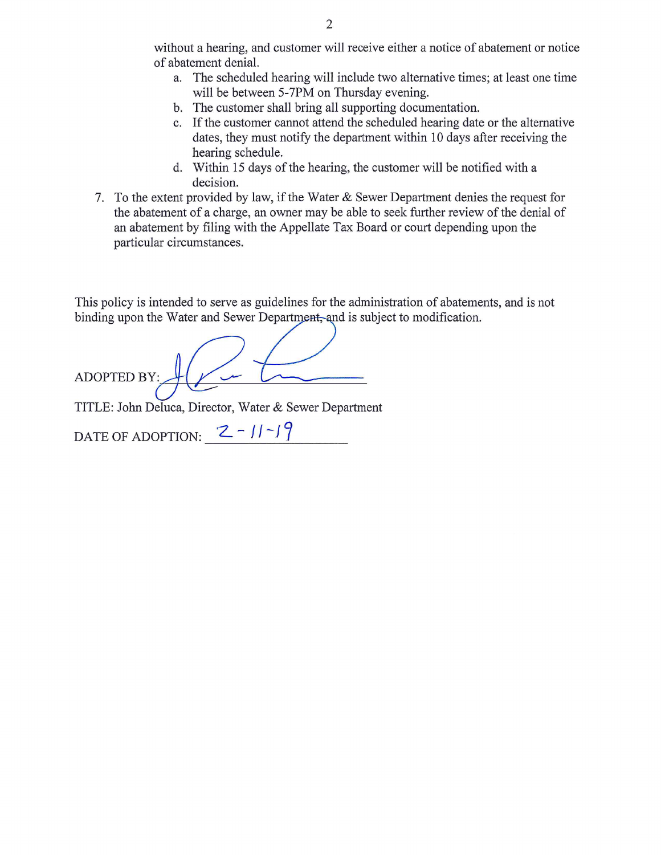without a hearing, and customer will receive either a notice of abatement or notice of abatement denial.

- a. The scheduled hearing will include two alternative times; at least one time will be between 5-7PM on Thursday evening.
- b. The customer shall bring all supporting documentation.
- c. If the customer cannot attend the scheduled hearing date or the alternative dates, they must notify the department within 10 days after receiving the hearing schedule.
- d. Within 15 days of the hearing, the customer will be notified with a decision.
- 7. To the extent provided by law, if the Water & Sewer Department denies the request for the abatement of a charge, an owner may be able to seek further review of the denial of an abatement by filing with the Appellate Tax Board or court depending upon the particular circumstances.

This policy is intended to serve as guidelines for the administration of abatements, and is not binding upon the Water and Sewer Department, and is subject to modification.

**ADOPTED BY:** 

TITLE: John Deluca, Director, Water & Sewer Department

DATE OF ADOPTION:  $2 - 11 - 19$